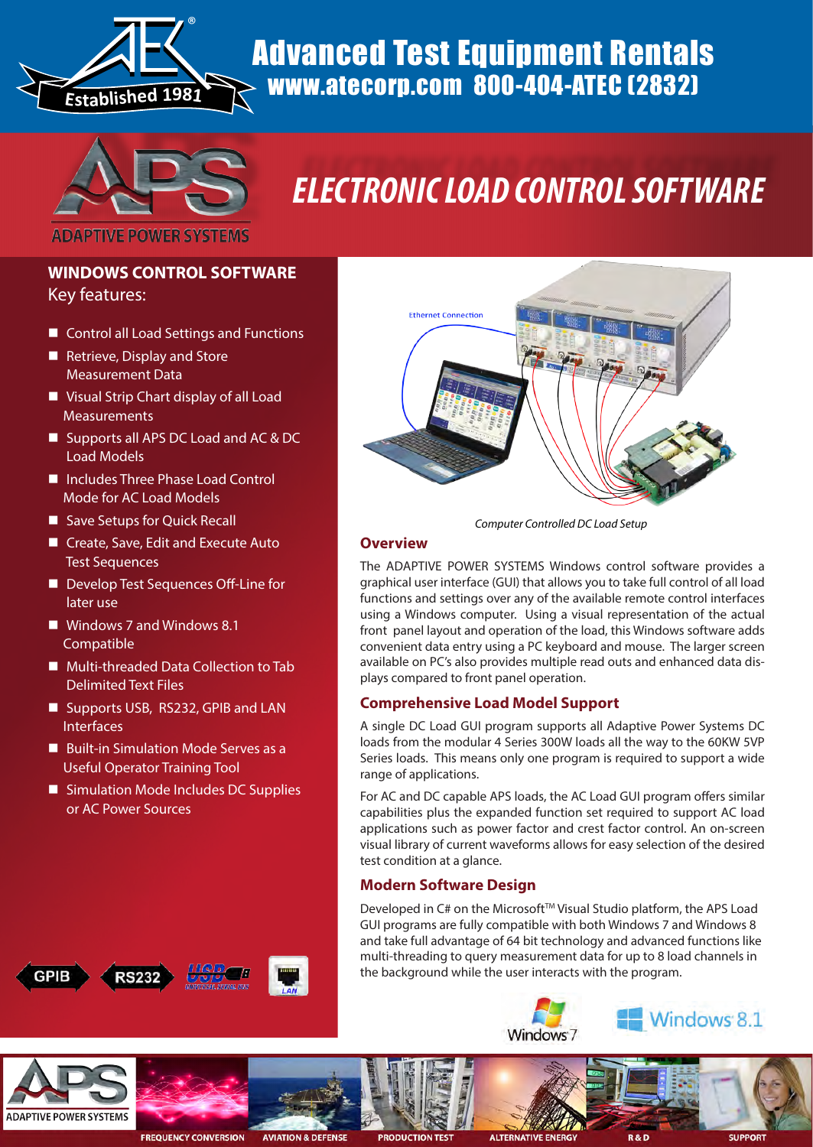

## Advanced Test Equipment Rentals www.atecorp.com 800-404-ATEC (2832)



# *ELECTRONIC LOAD CONTROL SOFTWARE*

#### **WINDOWS CONTROL SOFTWARE** Key features:

- Control all Load Settings and Functions
- Retrieve, Display and Store Measurement Data
- **U** Visual Strip Chart display of all Load Measurements
- Supports all APS DC Load and AC & DC Load Models
- Includes Three Phase Load Control Mode for AC Load Models
- Save Setups for Quick Recall
- Create, Save, Edit and Execute Auto Test Sequences
- Develop Test Sequences Off-Line for later use
- Windows 7 and Windows 8.1 Compatible
- **Multi-threaded Data Collection to Tab** Delimited Text Files
- Supports USB, RS232, GPIB and LAN Interfaces
- Built-in Simulation Mode Serves as a Useful Operator Training Tool
- **Simulation Mode Includes DC Supplies** or AC Power Sources





*Computer Controlled DC Load Setup*

#### **Overview**

The ADAPTIVE POWER SYSTEMS Windows control software provides a graphical user interface (GUI) that allows you to take full control of all load functions and settings over any of the available remote control interfaces using a Windows computer. Using a visual representation of the actual front panel layout and operation of the load, this Windows software adds convenient data entry using a PC keyboard and mouse. The larger screen available on PC's also provides multiple read outs and enhanced data displays compared to front panel operation.

#### **Comprehensive Load Model Support**

A single DC Load GUI program supports all Adaptive Power Systems DC loads from the modular 4 Series 300W loads all the way to the 60KW 5VP Series loads. This means only one program is required to support a wide range of applications.

For AC and DC capable APS loads, the AC Load GUI program offers similar capabilities plus the expanded function set required to support AC load applications such as power factor and crest factor control. An on-screen visual library of current waveforms allows for easy selection of the desired test condition at a glance.

#### **Modern Software Design**

Developed in C# on the Microsoft™ Visual Studio platform, the APS Load GUI programs are fully compatible with both Windows 7 and Windows 8 and take full advantage of 64 bit technology and advanced functions like multi-threading to query measurement data for up to 8 load channels in the background while the user interacts with the program.

Windows<sub>7</sub>





**FREQUENCY CONVERSION** 



**ALTERNATI** 

Windows 8.1

**SUPPORT**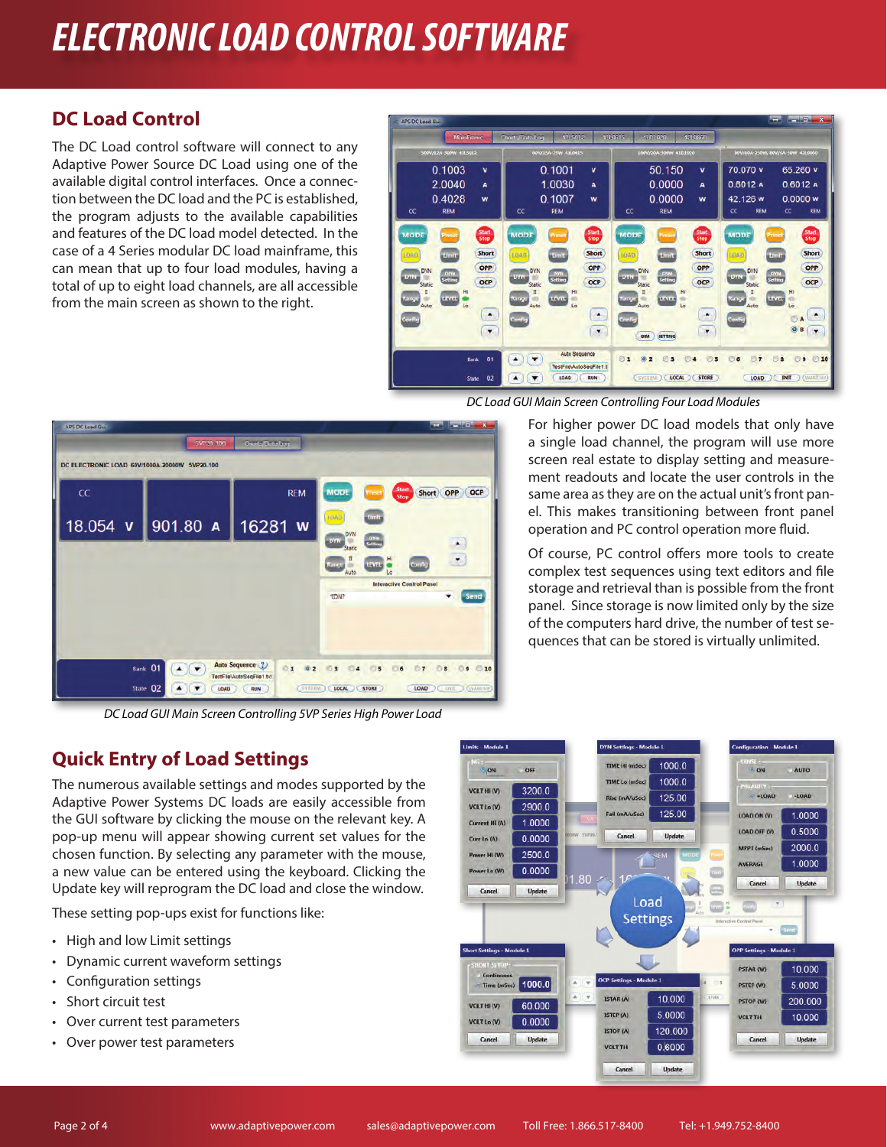## *ELECTRONIC LOAD CONTROL SOFTWARE*

### **DC Load Control**

The DC Load control software will connect to any Adaptive Power Source DC Load using one of the available digital control interfaces. Once a connection between the DC load and the PC is established, the program adjusts to the available capabilities and features of the DC load model detected. In the case of a 4 Series modular DC load mainframe, this can mean that up to four load modules, having a total of up to eight load channels, are all accessible from the main screen as shown to the right.



*DC Load GUI Main Screen Controlling Four Load Modules*



*DC Load GUI Main Screen Controlling 5VP Series High Power Load*

For higher power DC load models that only have a single load channel, the program will use more screen real estate to display setting and measurement readouts and locate the user controls in the same area as they are on the actual unit's front panel. This makes transitioning between front panel operation and PC control operation more fluid.

Of course, PC control offers more tools to create complex test sequences using text editors and file storage and retrieval than is possible from the front panel. Since storage is now limited only by the size of the computers hard drive, the number of test sequences that can be stored is virtually unlimited.

### **Quick Entry of Load Settings**

The numerous available settings and modes supported by the Adaptive Power Systems DC loads are easily accessible from the GUI software by clicking the mouse on the relevant key. A pop-up menu will appear showing current set values for the chosen function. By selecting any parameter with the mouse, a new value can be entered using the keyboard. Clicking the Update key will reprogram the DC load and close the window.

These setting pop-ups exist for functions like:

- High and low Limit settings
- Dynamic current waveform settings
- Configuration settings
- Short circuit test
- Over current test parameters
- Over power test parameters

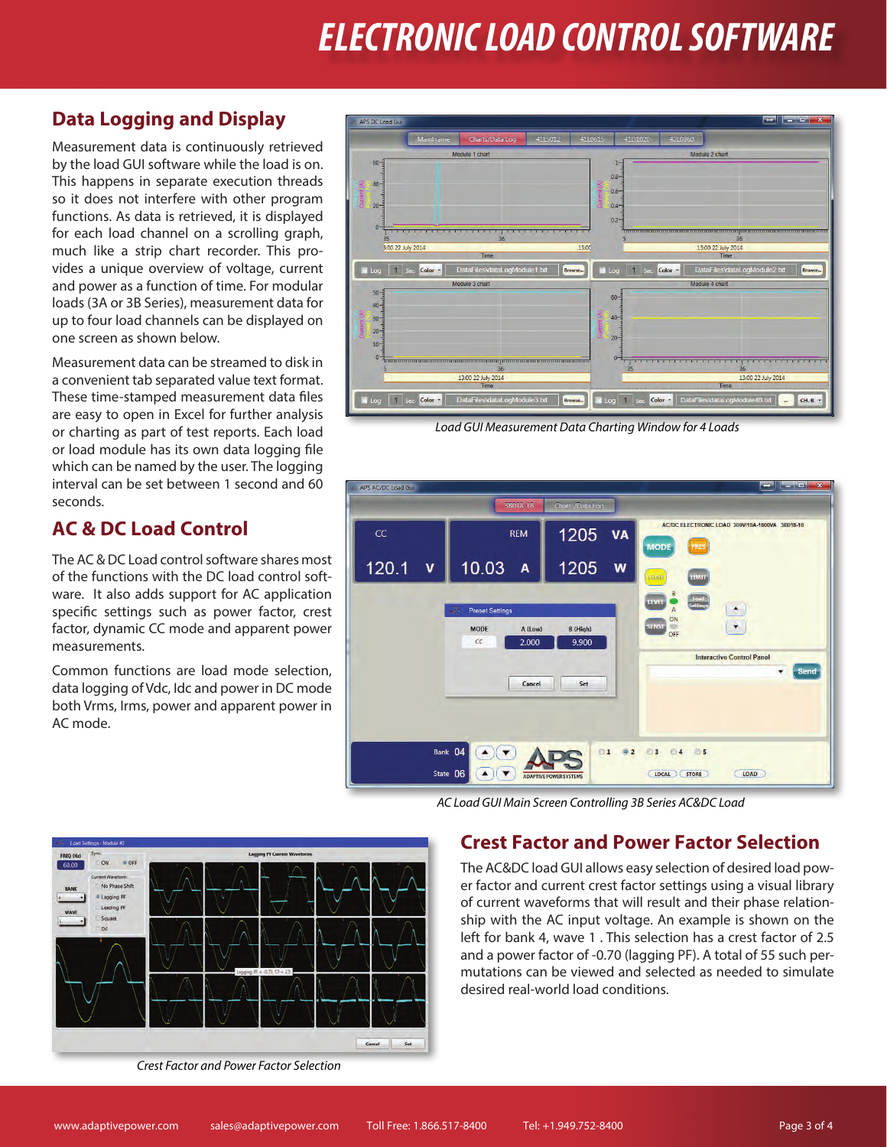## *ELECTRONIC LOAD CONTROL SOFTWARE*

#### **Data Logging and Display**

Measurement data is continuously retrieved by the load GUI software while the load is on. This happens in separate execution threads so it does not interfere with other program functions. As data is retrieved, it is displayed for each load channel on a scrolling graph, much like a strip chart recorder. This provides a unique overview of voltage, current and power as a function of time. For modular loads (3A or 3B Series), measurement data for up to four load channels can be displayed on one screen as shown below.

Measurement data can be streamed to disk in a convenient tab separated value text format. These time-stamped measurement data files are easy to open in Excel for further analysis or charting as part of test reports. Each load or load module has its own data logging file which can be named by the user. The logging interval can be set between 1 second and 60 seconds.

### **AC & DC Load Control**

The AC & DC Load control software shares most of the functions with the DC load control software. It also adds support for AC application specific settings such as power factor, crest factor, dynamic CC mode and apparent power measurements.

Common functions are load mode selection, data logging of Vdc, Idc and power in DC mode both Vrms, Irms, power and apparent power in AC mode.



*Load GUI Measurement Data Charting Window for 4 Loads*



*AC Load GUI Main Screen Controlling 3B Series AC&DC Load*

### **Crest Factor and Power Factor Selection**

The AC&DC load GUI allows easy selection of desired load power factor and current crest factor settings using a visual library of current waveforms that will result and their phase relationship with the AC input voltage. An example is shown on the left for bank 4, wave 1 . This selection has a crest factor of 2.5 and a power factor of -0.70 (lagging PF). A total of 55 such permutations can be viewed and selected as needed to simulate desired real-world load conditions.



*Crest Factor and Power Factor Selection*